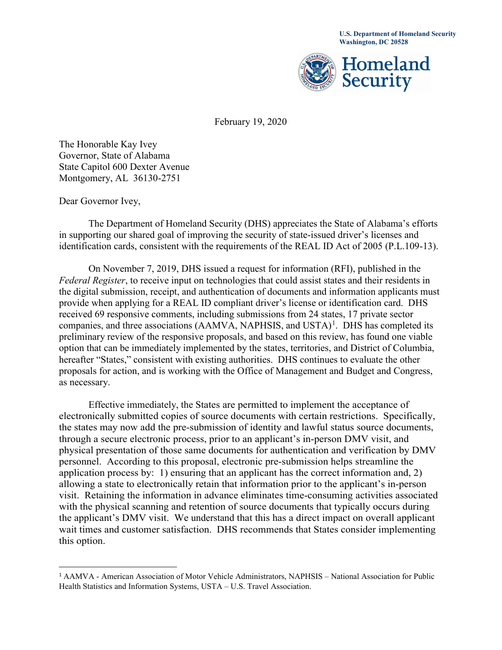

February 19, 2020

 The Honorable Kay Ivey Governor, State of Alabama State Capitol 600 Dexter Avenue Montgomery, AL 36130-2751

Dear Governor Ivey,

 identification cards, consistent with the requirements of the REAL ID Act of 2005 (P.L.109-13). The Department of Homeland Security (DHS) appreciates the State of Alabama's efforts in supporting our shared goal of improving the security of state-issued driver's licenses and

 provide when applying for a REAL ID compliant driver's license or identification card. DHS hereafter "States," consistent with existing authorities. DHS continues to evaluate the other as necessary. On November 7, 2019, DHS issued a request for information (RFI), published in the *Federal Register*, to receive input on technologies that could assist states and their residents in the digital submission, receipt, and authentication of documents and information applicants must received 69 responsive comments, including submissions from 24 states, 17 private sector companies, and three associations ( $AAMVA$ ,  $NAPHSIS$ , and  $USTA$ <sup>1</sup>. DHS has completed its preliminary review of the responsive proposals, and based on this review, has found one viable option that can be immediately implemented by the states, territories, and District of Columbia, proposals for action, and is working with the Office of Management and Budget and Congress,

 electronically submitted copies of source documents with certain restrictions. Specifically, application process by: 1) ensuring that an applicant has the correct information and, 2) wait times and customer satisfaction. DHS recommends that States consider implementing Effective immediately, the States are permitted to implement the acceptance of the states may now add the pre-submission of identity and lawful status source documents, through a secure electronic process, prior to an applicant's in-person DMV visit, and physical presentation of those same documents for authentication and verification by DMV personnel. According to this proposal, electronic pre-submission helps streamline the allowing a state to electronically retain that information prior to the applicant's in-person visit. Retaining the information in advance eliminates time-consuming activities associated with the physical scanning and retention of source documents that typically occurs during the applicant's DMV visit. We understand that this has a direct impact on overall applicant this option.

<sup>&</sup>lt;sup>1</sup> AAMVA - American Association of Motor Vehicle Administrators, NAPHSIS - National Association for Public Health Statistics and Information Systems, USTA – U.S. Travel Association.